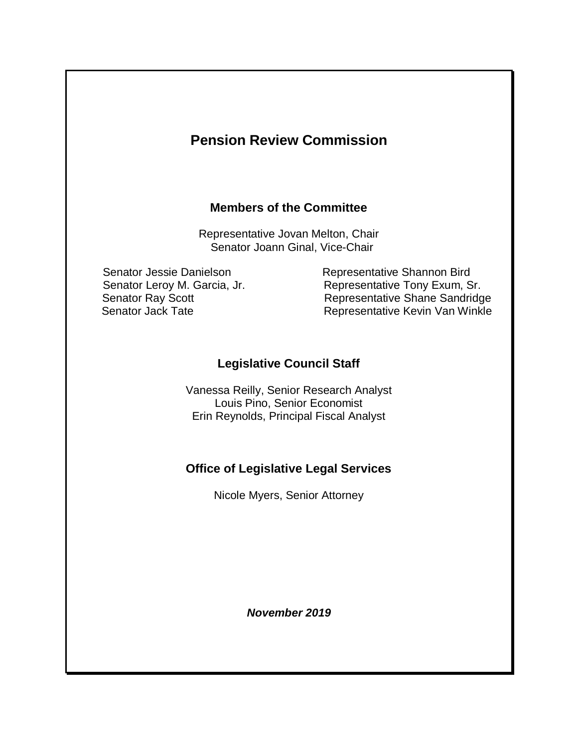# **Pension Review Commission**

### **Members of the Committee**

Representative Jovan Melton, Chair Senator Joann Ginal, Vice-Chair

Senator Jessie Danielson Representative Shannon Bird Senator Leroy M. Garcia, Jr. Representative Tony Exum, Sr. Senator Ray Scott **Representative Shane Sandridge** Senator Jack Tate **Representative Kevin Van Winkle** 

# **Legislative Council Staff**

Vanessa Reilly, Senior Research Analyst Louis Pino, Senior Economist Erin Reynolds, Principal Fiscal Analyst

# **Office of Legislative Legal Services**

Nicole Myers, Senior Attorney

*November 2019*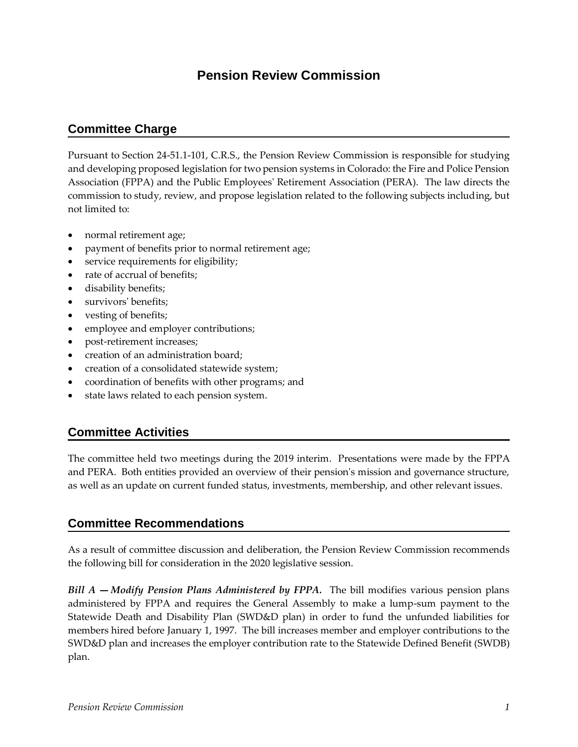# **Pension Review Commission**

### **Committee Charge**

Pursuant to Section 24-51.1-101, C.R.S., the Pension Review Commission is responsible for studying and developing proposed legislation for two pension systems in Colorado: the Fire and Police Pension Association (FPPA) and the Public Employees' Retirement Association (PERA). The law directs the commission to study, review, and propose legislation related to the following subjects including, but not limited to:

- normal retirement age;
- payment of benefits prior to normal retirement age;
- service requirements for eligibility;
- rate of accrual of benefits;
- disability benefits;
- survivors' benefits;
- vesting of benefits;
- employee and employer contributions;
- post-retirement increases;
- creation of an administration board;
- creation of a consolidated statewide system;
- coordination of benefits with other programs; and
- state laws related to each pension system.

# **Committee Activities**

The committee held two meetings during the 2019 interim. Presentations were made by the FPPA and PERA. Both entities provided an overview of their pension's mission and governance structure, as well as an update on current funded status, investments, membership, and other relevant issues.

### **Committee Recommendations**

As a result of committee discussion and deliberation, the Pension Review Commission recommends the following bill for consideration in the 2020 legislative session.

*Bill A – Modify Pension Plans Administered by FPPA.* The bill modifies various pension plans administered by FPPA and requires the General Assembly to make a lump-sum payment to the Statewide Death and Disability Plan (SWD&D plan) in order to fund the unfunded liabilities for members hired before January 1, 1997. The bill increases member and employer contributions to the SWD&D plan and increases the employer contribution rate to the Statewide Defined Benefit (SWDB) plan.